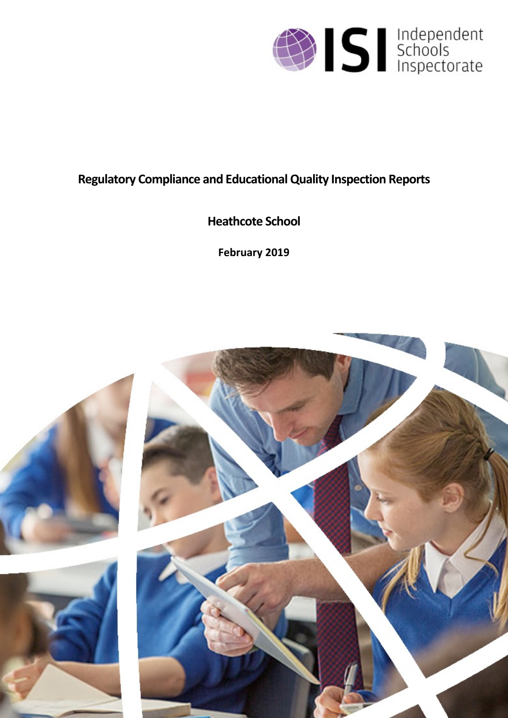

## **Regulatory Compliance and EducationalQuality Inspection Reports**

# **Heathcote School**

**February 2019**

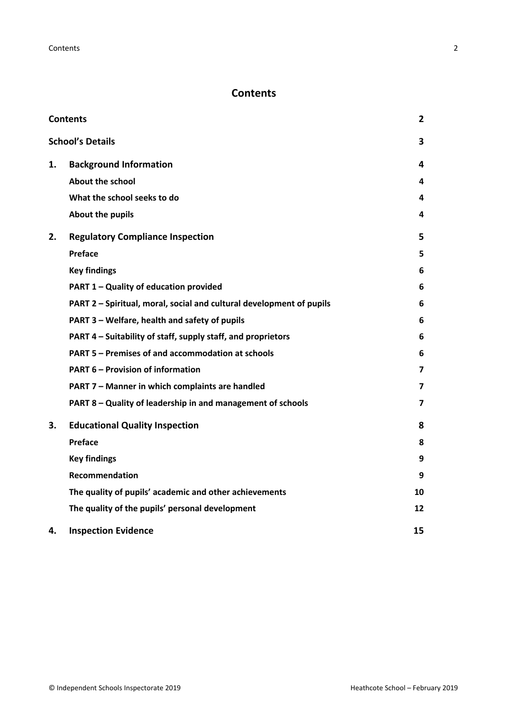## <span id="page-1-0"></span>**Contents**

| <b>Contents</b> |                                                                      | $\mathbf{2}$ |
|-----------------|----------------------------------------------------------------------|--------------|
|                 | <b>School's Details</b>                                              | 3            |
| 1.              | <b>Background Information</b>                                        | 4            |
|                 | <b>About the school</b>                                              | 4            |
|                 | What the school seeks to do                                          | 4            |
|                 | <b>About the pupils</b>                                              | 4            |
| 2.              | <b>Regulatory Compliance Inspection</b>                              | 5            |
|                 | Preface                                                              | 5            |
|                 | <b>Key findings</b>                                                  | 6            |
|                 | PART 1 - Quality of education provided                               | 6            |
|                 | PART 2 - Spiritual, moral, social and cultural development of pupils | 6            |
|                 | PART 3 - Welfare, health and safety of pupils                        | 6            |
|                 | PART 4 – Suitability of staff, supply staff, and proprietors         | 6            |
|                 | PART 5 - Premises of and accommodation at schools                    | 6            |
|                 | <b>PART 6 - Provision of information</b>                             | 7            |
|                 | PART 7 - Manner in which complaints are handled                      | 7            |
|                 | PART 8 - Quality of leadership in and management of schools          | 7            |
| 3.              | <b>Educational Quality Inspection</b>                                | 8            |
|                 | Preface                                                              | 8            |
|                 | <b>Key findings</b>                                                  | 9            |
|                 | Recommendation                                                       | 9            |
|                 | The quality of pupils' academic and other achievements               | 10           |
|                 | The quality of the pupils' personal development                      | 12           |
| 4.              | <b>Inspection Evidence</b>                                           | 15           |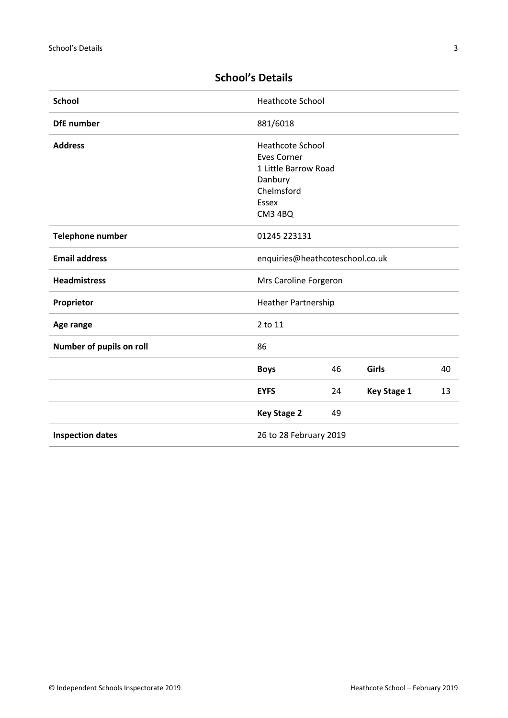| <b>School</b>                    | <b>Heathcote School</b>         |    |                    |    |
|----------------------------------|---------------------------------|----|--------------------|----|
| <b>DfE</b> number                | 881/6018                        |    |                    |    |
| <b>Address</b>                   | <b>Heathcote School</b>         |    |                    |    |
|                                  | <b>Eves Corner</b>              |    |                    |    |
|                                  | 1 Little Barrow Road            |    |                    |    |
|                                  | Danbury                         |    |                    |    |
|                                  | Chelmsford                      |    |                    |    |
|                                  | Essex                           |    |                    |    |
|                                  | <b>CM3 4BQ</b>                  |    |                    |    |
| Telephone number<br>01245 223131 |                                 |    |                    |    |
| <b>Email address</b>             | enquiries@heathcoteschool.co.uk |    |                    |    |
| <b>Headmistress</b>              | Mrs Caroline Forgeron           |    |                    |    |
| Proprietor                       | <b>Heather Partnership</b>      |    |                    |    |
| Age range                        | 2 to 11                         |    |                    |    |
| Number of pupils on roll         | 86                              |    |                    |    |
|                                  | <b>Boys</b>                     | 46 | Girls              | 40 |
|                                  | <b>EYFS</b>                     | 24 | <b>Key Stage 1</b> | 13 |
|                                  | <b>Key Stage 2</b>              | 49 |                    |    |
| <b>Inspection dates</b>          | 26 to 28 February 2019          |    |                    |    |
|                                  |                                 |    |                    |    |

## <span id="page-2-0"></span>**School's Details**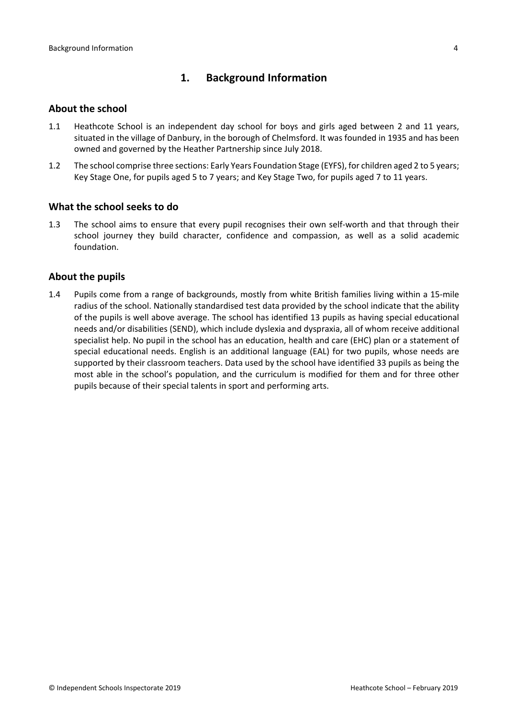## <span id="page-3-0"></span>**1. Background Information**

#### <span id="page-3-1"></span>**About the school**

- 1.1 Heathcote School is an independent day school for boys and girls aged between 2 and 11 years, situated in the village of Danbury, in the borough of Chelmsford. It was founded in 1935 and has been owned and governed by the Heather Partnership since July 2018.
- 1.2 The school comprise three sections: Early Years Foundation Stage (EYFS), for children aged 2 to 5 years; Key Stage One, for pupils aged 5 to 7 years; and Key Stage Two, for pupils aged 7 to 11 years.

#### <span id="page-3-2"></span>**What the school seeks to do**

1.3 The school aims to ensure that every pupil recognises their own self-worth and that through their school journey they build character, confidence and compassion, as well as a solid academic foundation.

#### <span id="page-3-3"></span>**About the pupils**

1.4 Pupils come from a range of backgrounds, mostly from white British families living within a 15-mile radius of the school. Nationally standardised test data provided by the school indicate that the ability of the pupils is well above average. The school has identified 13 pupils as having special educational needs and/or disabilities (SEND), which include dyslexia and dyspraxia, all of whom receive additional specialist help. No pupil in the school has an education, health and care (EHC) plan or a statement of special educational needs. English is an additional language (EAL) for two pupils, whose needs are supported by their classroom teachers. Data used by the school have identified 33 pupils as being the most able in the school's population, and the curriculum is modified for them and for three other pupils because of their special talents in sport and performing arts.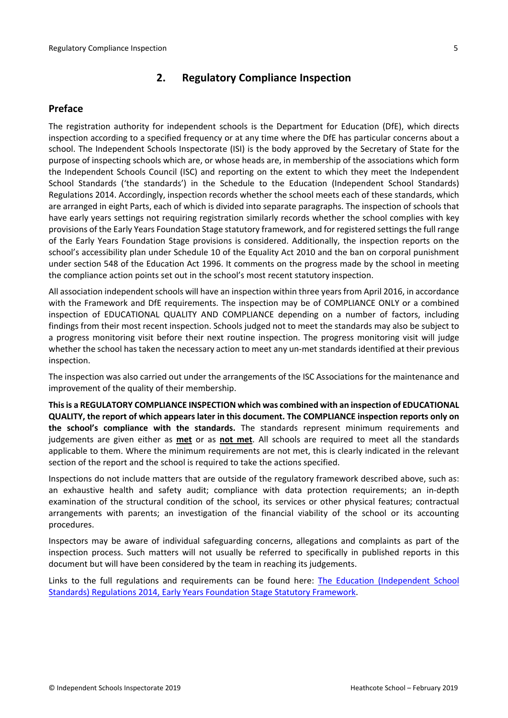## <span id="page-4-0"></span>**2. Regulatory Compliance Inspection**

## <span id="page-4-1"></span>**Preface**

The registration authority for independent schools is the Department for Education (DfE), which directs inspection according to a specified frequency or at any time where the DfE has particular concerns about a school. The Independent Schools Inspectorate (ISI) is the body approved by the Secretary of State for the purpose of inspecting schools which are, or whose heads are, in membership of the associations which form the Independent Schools Council (ISC) and reporting on the extent to which they meet the Independent School Standards ('the standards') in the Schedule to the Education (Independent School Standards) Regulations 2014. Accordingly, inspection records whether the school meets each of these standards, which are arranged in eight Parts, each of which is divided into separate paragraphs. The inspection of schools that have early years settings not requiring registration similarly records whether the school complies with key provisions of the Early Years Foundation Stage statutory framework, and for registered settings the full range of the Early Years Foundation Stage provisions is considered. Additionally, the inspection reports on the school's accessibility plan under Schedule 10 of the Equality Act 2010 and the ban on corporal punishment under section 548 of the Education Act 1996. It comments on the progress made by the school in meeting the compliance action points set out in the school's most recent statutory inspection.

All association independent schools will have an inspection within three yearsfrom April 2016, in accordance with the Framework and DfE requirements. The inspection may be of COMPLIANCE ONLY or a combined inspection of EDUCATIONAL QUALITY AND COMPLIANCE depending on a number of factors, including findings from their most recent inspection. Schools judged not to meet the standards may also be subject to a progress monitoring visit before their next routine inspection. The progress monitoring visit will judge whether the school has taken the necessary action to meet any un-met standards identified at their previous inspection.

The inspection was also carried out under the arrangements of the ISC Associations for the maintenance and improvement of the quality of their membership.

**Thisis a REGULATORY COMPLIANCE INSPECTION which was combined with an inspection of EDUCATIONAL QUALITY, the report of which appears later in this document. The COMPLIANCE inspection reports only on the school's compliance with the standards.** The standards represent minimum requirements and judgements are given either as **met** or as **not met**. All schools are required to meet all the standards applicable to them. Where the minimum requirements are not met, this is clearly indicated in the relevant section of the report and the school is required to take the actions specified.

Inspections do not include matters that are outside of the regulatory framework described above, such as: an exhaustive health and safety audit; compliance with data protection requirements; an in-depth examination of the structural condition of the school, its services or other physical features; contractual arrangements with parents; an investigation of the financial viability of the school or its accounting procedures.

Inspectors may be aware of individual safeguarding concerns, allegations and complaints as part of the inspection process. Such matters will not usually be referred to specifically in published reports in this document but will have been considered by the team in reaching its judgements.

Links to the full regulations and requirements can be found here: The Education [\(Independent](http://www.legislation.gov.uk/uksi/2014/3283/contents/made) School Standards) [Regulations](http://www.legislation.gov.uk/uksi/2014/3283/contents/made) 2014, Early Years Foundation Stage Statutory [Framework.](https://www.gov.uk/government/publications/early-years-foundation-stage-framework--2)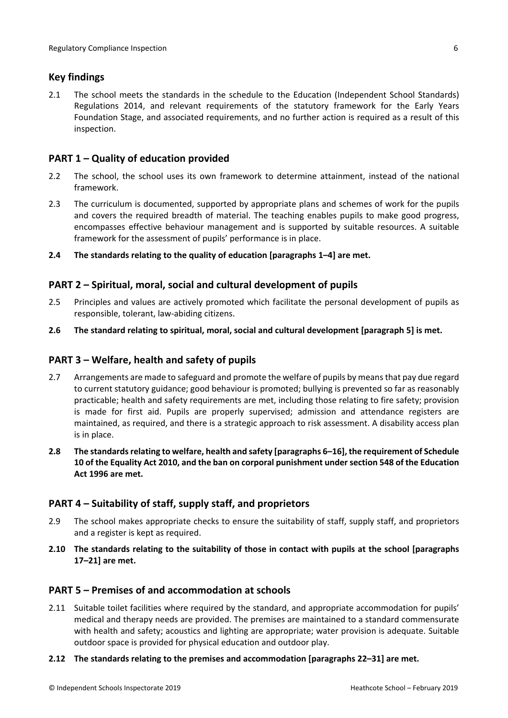## <span id="page-5-0"></span>**Key findings**

2.1 The school meets the standards in the schedule to the Education (Independent School Standards) Regulations 2014, and relevant requirements of the statutory framework for the Early Years Foundation Stage, and associated requirements, and no further action is required as a result of this inspection.

## <span id="page-5-1"></span>**PART 1 – Quality of education provided**

- 2.2 The school, the school uses its own framework to determine attainment, instead of the national framework.
- 2.3 The curriculum is documented, supported by appropriate plans and schemes of work for the pupils and covers the required breadth of material. The teaching enables pupils to make good progress, encompasses effective behaviour management and is supported by suitable resources. A suitable framework for the assessment of pupils' performance is in place.
- **2.4 The standards relating to the quality of education [paragraphs 1–4] are met.**

#### <span id="page-5-2"></span>**PART 2 – Spiritual, moral, social and cultural development of pupils**

- 2.5 Principles and values are actively promoted which facilitate the personal development of pupils as responsible, tolerant, law-abiding citizens.
- **2.6 The standard relating to spiritual, moral, social and cultural development [paragraph 5] is met.**

#### <span id="page-5-3"></span>**PART 3 – Welfare, health and safety of pupils**

- 2.7 Arrangements are made to safeguard and promote the welfare of pupils by means that pay due regard to current statutory guidance; good behaviour is promoted; bullying is prevented so far as reasonably practicable; health and safety requirements are met, including those relating to fire safety; provision is made for first aid. Pupils are properly supervised; admission and attendance registers are maintained, as required, and there is a strategic approach to risk assessment. A disability access plan is in place.
- **2.8 The standardsrelating to welfare, health and safety [paragraphs 6–16], the requirement of Schedule 10 of the Equality Act 2010, and the ban on corporal punishment undersection 548 of the Education Act 1996 are met.**

#### <span id="page-5-4"></span>**PART 4 – Suitability of staff, supply staff, and proprietors**

- 2.9 The school makes appropriate checks to ensure the suitability of staff, supply staff, and proprietors and a register is kept as required.
- **2.10 The standards relating to the suitability of those in contact with pupils at the school [paragraphs 17–21] are met.**

#### <span id="page-5-5"></span>**PART 5 – Premises of and accommodation at schools**

2.11 Suitable toilet facilities where required by the standard, and appropriate accommodation for pupils' medical and therapy needs are provided. The premises are maintained to a standard commensurate with health and safety; acoustics and lighting are appropriate; water provision is adequate. Suitable outdoor space is provided for physical education and outdoor play.

#### **2.12 The standards relating to the premises and accommodation [paragraphs 22–31] are met.**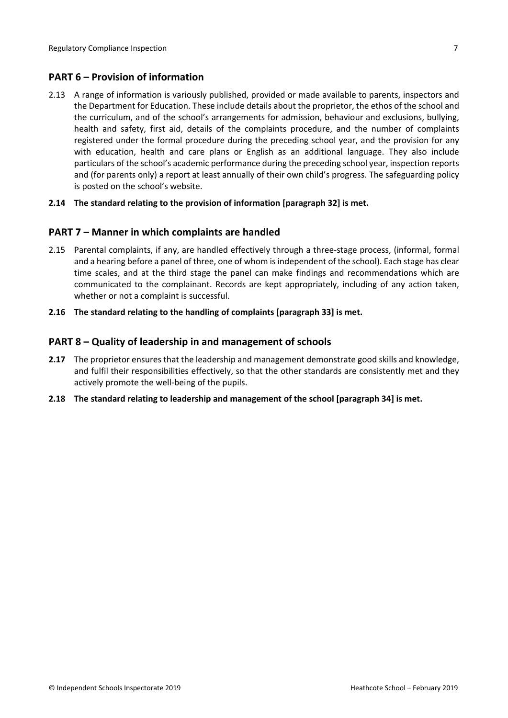## <span id="page-6-0"></span>**PART 6 – Provision of information**

2.13 A range of information is variously published, provided or made available to parents, inspectors and the Department for Education. These include details about the proprietor, the ethos of the school and the curriculum, and of the school's arrangements for admission, behaviour and exclusions, bullying, health and safety, first aid, details of the complaints procedure, and the number of complaints registered under the formal procedure during the preceding school year, and the provision for any with education, health and care plans or English as an additional language. They also include particulars of the school's academic performance during the preceding school year, inspection reports and (for parents only) a report at least annually of their own child's progress. The safeguarding policy is posted on the school's website.

#### **2.14 The standard relating to the provision of information [paragraph 32] is met.**

#### <span id="page-6-1"></span>**PART 7 – Manner in which complaints are handled**

- 2.15 Parental complaints, if any, are handled effectively through a three-stage process, (informal, formal and a hearing before a panel of three, one of whom is independent of the school). Each stage has clear time scales, and at the third stage the panel can make findings and recommendations which are communicated to the complainant. Records are kept appropriately, including of any action taken, whether or not a complaint is successful.
- **2.16 The standard relating to the handling of complaints [paragraph 33] is met.**

#### <span id="page-6-2"></span>**PART 8 – Quality of leadership in and management of schools**

- **2.17** The proprietor ensures that the leadership and management demonstrate good skills and knowledge, and fulfil their responsibilities effectively, so that the other standards are consistently met and they actively promote the well-being of the pupils.
- **2.18 The standard relating to leadership and management of the school [paragraph 34] is met.**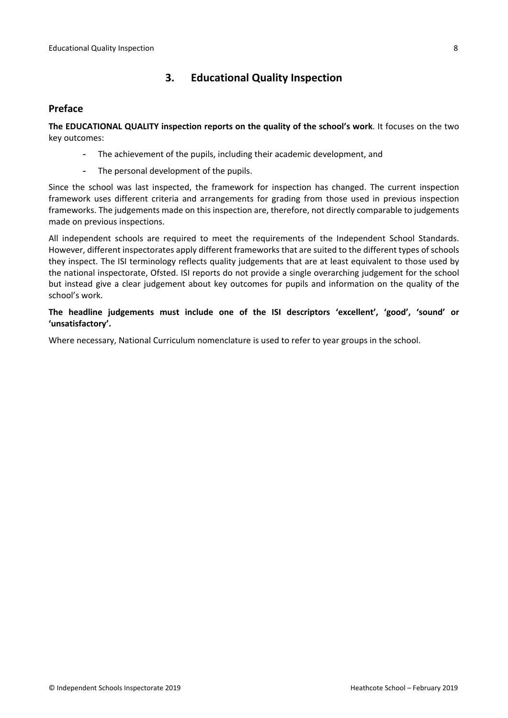## <span id="page-7-0"></span>**3. Educational Quality Inspection**

#### <span id="page-7-1"></span>**Preface**

**The EDUCATIONAL QUALITY inspection reports on the quality of the school's work**. It focuses on the two key outcomes:

- The achievement of the pupils, including their academic development, and
- The personal development of the pupils.

Since the school was last inspected, the framework for inspection has changed. The current inspection framework uses different criteria and arrangements for grading from those used in previous inspection frameworks. The judgements made on this inspection are, therefore, not directly comparable to judgements made on previous inspections.

All independent schools are required to meet the requirements of the Independent School Standards. However, different inspectorates apply different frameworks that are suited to the different types of schools they inspect. The ISI terminology reflects quality judgements that are at least equivalent to those used by the national inspectorate, Ofsted. ISI reports do not provide a single overarching judgement for the school but instead give a clear judgement about key outcomes for pupils and information on the quality of the school's work.

**The headline judgements must include one of the ISI descriptors 'excellent', 'good', 'sound' or 'unsatisfactory'.**

Where necessary, National Curriculum nomenclature is used to refer to year groups in the school.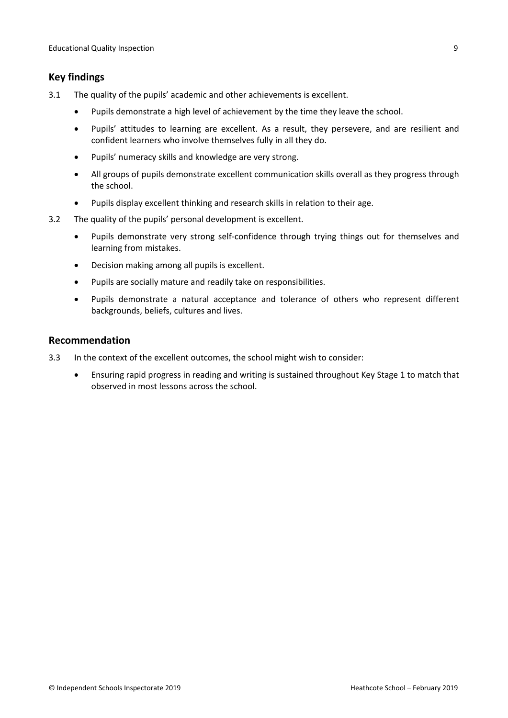## <span id="page-8-0"></span>**Key findings**

- 3.1 The quality of the pupils' academic and other achievements is excellent.
	- Pupils demonstrate a high level of achievement by the time they leave the school.
	- Pupils' attitudes to learning are excellent. As a result, they persevere, and are resilient and confident learners who involve themselves fully in all they do.
	- Pupils' numeracy skills and knowledge are very strong.
	- All groups of pupils demonstrate excellent communication skills overall as they progress through the school.
	- Pupils display excellent thinking and research skills in relation to their age.
- 3.2 The quality of the pupils' personal development is excellent.
	- Pupils demonstrate very strong self-confidence through trying things out for themselves and learning from mistakes.
	- Decision making among all pupils is excellent.
	- Pupils are socially mature and readily take on responsibilities.
	- Pupils demonstrate a natural acceptance and tolerance of others who represent different backgrounds, beliefs, cultures and lives.

#### <span id="page-8-1"></span>**Recommendation**

- 3.3 In the context of the excellent outcomes, the school might wish to consider:
	- Ensuring rapid progress in reading and writing is sustained throughout Key Stage 1 to match that observed in most lessons across the school.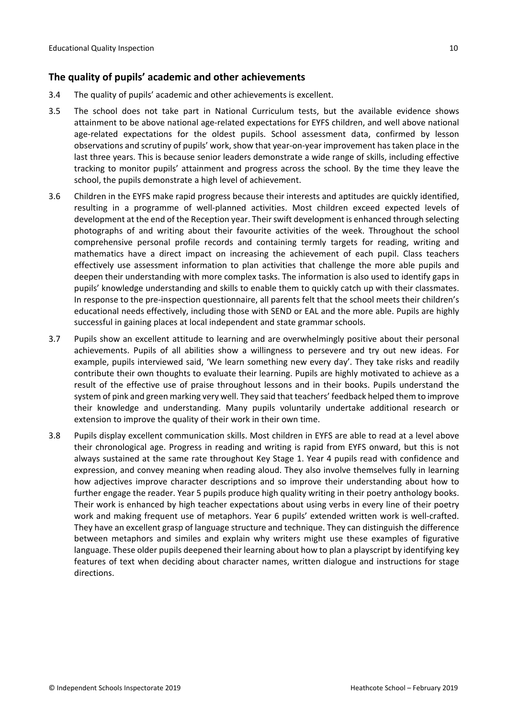## <span id="page-9-0"></span>**The quality of pupils' academic and other achievements**

- 3.4 The quality of pupils' academic and other achievements is excellent.
- 3.5 The school does not take part in National Curriculum tests, but the available evidence shows attainment to be above national age-related expectations for EYFS children, and well above national age-related expectations for the oldest pupils. School assessment data, confirmed by lesson observations and scrutiny of pupils' work, show that year-on-year improvement hastaken place in the last three years. This is because senior leaders demonstrate a wide range of skills, including effective tracking to monitor pupils' attainment and progress across the school. By the time they leave the school, the pupils demonstrate a high level of achievement.
- 3.6 Children in the EYFS make rapid progress because their interests and aptitudes are quickly identified, resulting in a programme of well-planned activities. Most children exceed expected levels of development at the end of the Reception year. Their swift development is enhanced through selecting photographs of and writing about their favourite activities of the week. Throughout the school comprehensive personal profile records and containing termly targets for reading, writing and mathematics have a direct impact on increasing the achievement of each pupil. Class teachers effectively use assessment information to plan activities that challenge the more able pupils and deepen their understanding with more complex tasks. The information is also used to identify gaps in pupils' knowledge understanding and skills to enable them to quickly catch up with their classmates. In response to the pre-inspection questionnaire, all parents felt that the school meets their children's educational needs effectively, including those with SEND or EAL and the more able. Pupils are highly successful in gaining places at local independent and state grammar schools.
- 3.7 Pupils show an excellent attitude to learning and are overwhelmingly positive about their personal achievements. Pupils of all abilities show a willingness to persevere and try out new ideas. For example, pupils interviewed said, 'We learn something new every day'. They take risks and readily contribute their own thoughts to evaluate their learning. Pupils are highly motivated to achieve as a result of the effective use of praise throughout lessons and in their books. Pupils understand the system of pink and green marking very well. They said that teachers' feedback helped them to improve their knowledge and understanding. Many pupils voluntarily undertake additional research or extension to improve the quality of their work in their own time.
- 3.8 Pupils display excellent communication skills. Most children in EYFS are able to read at a level above their chronological age. Progress in reading and writing is rapid from EYFS onward, but this is not always sustained at the same rate throughout Key Stage 1. Year 4 pupils read with confidence and expression, and convey meaning when reading aloud. They also involve themselves fully in learning how adjectives improve character descriptions and so improve their understanding about how to further engage the reader. Year 5 pupils produce high quality writing in their poetry anthology books. Their work is enhanced by high teacher expectations about using verbs in every line of their poetry work and making frequent use of metaphors. Year 6 pupils' extended written work is well-crafted. They have an excellent grasp of language structure and technique. They can distinguish the difference between metaphors and similes and explain why writers might use these examples of figurative language. These older pupils deepened their learning about how to plan a playscript by identifying key features of text when deciding about character names, written dialogue and instructions for stage directions.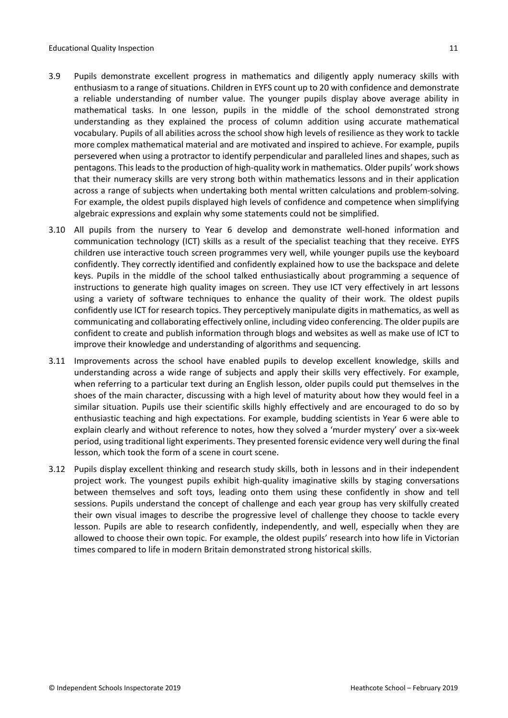- 3.9 Pupils demonstrate excellent progress in mathematics and diligently apply numeracy skills with enthusiasm to a range of situations. Children in EYFS count up to 20 with confidence and demonstrate a reliable understanding of number value. The younger pupils display above average ability in mathematical tasks. In one lesson, pupils in the middle of the school demonstrated strong understanding as they explained the process of column addition using accurate mathematical vocabulary. Pupils of all abilities across the school show high levels of resilience as they work to tackle more complex mathematical material and are motivated and inspired to achieve. For example, pupils persevered when using a protractor to identify perpendicular and paralleled lines and shapes, such as pentagons. This leads to the production of high-quality work in mathematics. Older pupils' work shows that their numeracy skills are very strong both within mathematics lessons and in their application across a range of subjects when undertaking both mental written calculations and problem-solving. For example, the oldest pupils displayed high levels of confidence and competence when simplifying algebraic expressions and explain why some statements could not be simplified.
- 3.10 All pupils from the nursery to Year 6 develop and demonstrate well-honed information and communication technology (ICT) skills as a result of the specialist teaching that they receive. EYFS children use interactive touch screen programmes very well, while younger pupils use the keyboard confidently. They correctly identified and confidently explained how to use the backspace and delete keys. Pupils in the middle of the school talked enthusiastically about programming a sequence of instructions to generate high quality images on screen. They use ICT very effectively in art lessons using a variety of software techniques to enhance the quality of their work. The oldest pupils confidently use ICT for research topics. They perceptively manipulate digits in mathematics, as well as communicating and collaborating effectively online, including video conferencing. The older pupils are confident to create and publish information through blogs and websites as well as make use of ICT to improve their knowledge and understanding of algorithms and sequencing.
- 3.11 Improvements across the school have enabled pupils to develop excellent knowledge, skills and understanding across a wide range of subjects and apply their skills very effectively. For example, when referring to a particular text during an English lesson, older pupils could put themselves in the shoes of the main character, discussing with a high level of maturity about how they would feel in a similar situation. Pupils use their scientific skills highly effectively and are encouraged to do so by enthusiastic teaching and high expectations. For example, budding scientists in Year 6 were able to explain clearly and without reference to notes, how they solved a 'murder mystery' over a six-week period, using traditional light experiments. They presented forensic evidence very well during the final lesson, which took the form of a scene in court scene.
- 3.12 Pupils display excellent thinking and research study skills, both in lessons and in their independent project work. The youngest pupils exhibit high-quality imaginative skills by staging conversations between themselves and soft toys, leading onto them using these confidently in show and tell sessions. Pupils understand the concept of challenge and each year group has very skilfully created their own visual images to describe the progressive level of challenge they choose to tackle every lesson. Pupils are able to research confidently, independently, and well, especially when they are allowed to choose their own topic. For example, the oldest pupils' research into how life in Victorian times compared to life in modern Britain demonstrated strong historical skills.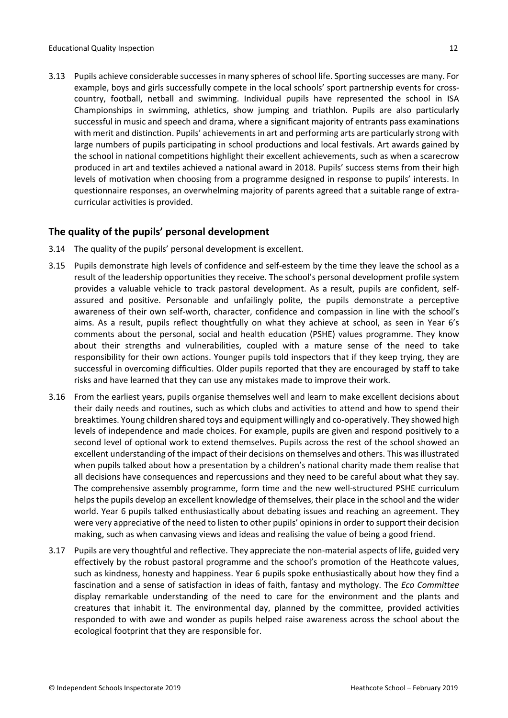3.13 Pupils achieve considerable successes in many spheres ofschool life. Sporting successes are many. For example, boys and girls successfully compete in the local schools' sport partnership events for crosscountry, football, netball and swimming. Individual pupils have represented the school in ISA Championships in swimming, athletics, show jumping and triathlon. Pupils are also particularly successful in music and speech and drama, where a significant majority of entrants pass examinations with merit and distinction. Pupils' achievements in art and performing arts are particularly strong with large numbers of pupils participating in school productions and local festivals. Art awards gained by the school in national competitions highlight their excellent achievements, such as when a scarecrow produced in art and textiles achieved a national award in 2018. Pupils' success stems from their high levels of motivation when choosing from a programme designed in response to pupils' interests. In questionnaire responses, an overwhelming majority of parents agreed that a suitable range of extracurricular activities is provided.

#### <span id="page-11-0"></span>**The quality of the pupils' personal development**

- 3.14 The quality of the pupils' personal development is excellent.
- 3.15 Pupils demonstrate high levels of confidence and self-esteem by the time they leave the school as a result of the leadership opportunities they receive. The school's personal development profile system provides a valuable vehicle to track pastoral development. As a result, pupils are confident, selfassured and positive. Personable and unfailingly polite, the pupils demonstrate a perceptive awareness of their own self-worth, character, confidence and compassion in line with the school's aims. As a result, pupils reflect thoughtfully on what they achieve at school, as seen in Year 6's comments about the personal, social and health education (PSHE) values programme. They know about their strengths and vulnerabilities, coupled with a mature sense of the need to take responsibility for their own actions. Younger pupils told inspectors that if they keep trying, they are successful in overcoming difficulties. Older pupils reported that they are encouraged by staff to take risks and have learned that they can use any mistakes made to improve their work.
- 3.16 From the earliest years, pupils organise themselves well and learn to make excellent decisions about their daily needs and routines, such as which clubs and activities to attend and how to spend their breaktimes. Young children shared toys and equipment willingly and co-operatively. They showed high levels of independence and made choices. For example, pupils are given and respond positively to a second level of optional work to extend themselves. Pupils across the rest of the school showed an excellent understanding of the impact of their decisions on themselves and others. This was illustrated when pupils talked about how a presentation by a children's national charity made them realise that all decisions have consequences and repercussions and they need to be careful about what they say. The comprehensive assembly programme, form time and the new well-structured PSHE curriculum helpsthe pupils develop an excellent knowledge of themselves, their place in the school and the wider world. Year 6 pupils talked enthusiastically about debating issues and reaching an agreement. They were very appreciative of the need to listen to other pupils' opinions in order to support their decision making, such as when canvasing views and ideas and realising the value of being a good friend.
- 3.17 Pupils are very thoughtful and reflective. They appreciate the non-material aspects of life, guided very effectively by the robust pastoral programme and the school's promotion of the Heathcote values, such as kindness, honesty and happiness. Year 6 pupils spoke enthusiastically about how they find a fascination and a sense of satisfaction in ideas of faith, fantasy and mythology. The *Eco Committee* display remarkable understanding of the need to care for the environment and the plants and creatures that inhabit it. The environmental day, planned by the committee, provided activities responded to with awe and wonder as pupils helped raise awareness across the school about the ecological footprint that they are responsible for.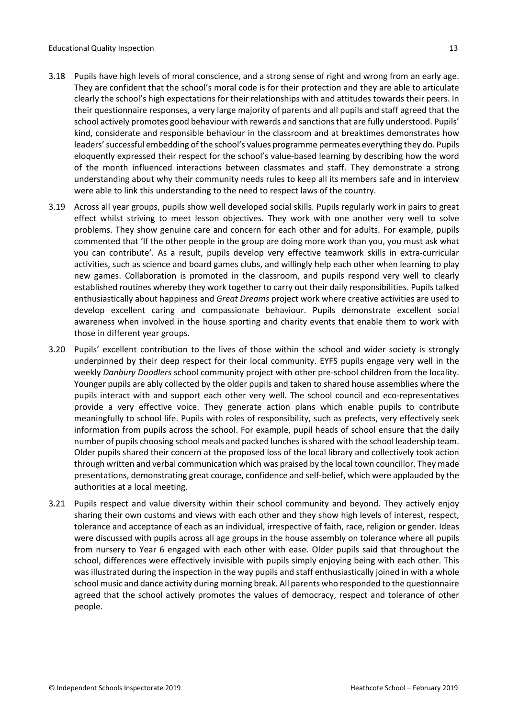- 3.18 Pupils have high levels of moral conscience, and a strong sense of right and wrong from an early age. They are confident that the school's moral code is for their protection and they are able to articulate clearly the school's high expectations for their relationships with and attitudes towards their peers. In their questionnaire responses, a very large majority of parents and all pupils and staff agreed that the school actively promotes good behaviour with rewards and sanctions that are fully understood. Pupils' kind, considerate and responsible behaviour in the classroom and at breaktimes demonstrates how leaders' successful embedding of the school's values programme permeates everything they do. Pupils eloquently expressed their respect for the school's value-based learning by describing how the word of the month influenced interactions between classmates and staff. They demonstrate a strong understanding about why their community needs rules to keep all its members safe and in interview were able to link this understanding to the need to respect laws of the country.
- 3.19 Across all year groups, pupils show well developed social skills. Pupils regularly work in pairs to great effect whilst striving to meet lesson objectives. They work with one another very well to solve problems. They show genuine care and concern for each other and for adults. For example, pupils commented that 'If the other people in the group are doing more work than you, you must ask what you can contribute'. As a result, pupils develop very effective teamwork skills in extra-curricular activities, such as science and board games clubs, and willingly help each other when learning to play new games. Collaboration is promoted in the classroom, and pupils respond very well to clearly established routines whereby they work together to carry out their daily responsibilities. Pupils talked enthusiastically about happiness and *Great Dreams* project work where creative activities are used to develop excellent caring and compassionate behaviour. Pupils demonstrate excellent social awareness when involved in the house sporting and charity events that enable them to work with those in different year groups.
- 3.20 Pupils' excellent contribution to the lives of those within the school and wider society is strongly underpinned by their deep respect for their local community. EYFS pupils engage very well in the weekly *Danbury Doodlers* school community project with other pre-school children from the locality. Younger pupils are ably collected by the older pupils and taken to shared house assemblies where the pupils interact with and support each other very well. The school council and eco-representatives provide a very effective voice. They generate action plans which enable pupils to contribute meaningfully to school life. Pupils with roles of responsibility, such as prefects, very effectively seek information from pupils across the school. For example, pupil heads of school ensure that the daily number of pupils choosing school meals and packed lunches is shared with the school leadership team. Older pupils shared their concern at the proposed loss of the local library and collectively took action through written and verbal communication which was praised by the local town councillor. They made presentations, demonstrating great courage, confidence and self-belief, which were applauded by the authorities at a local meeting.
- 3.21 Pupils respect and value diversity within their school community and beyond. They actively enjoy sharing their own customs and views with each other and they show high levels of interest, respect, tolerance and acceptance of each as an individual, irrespective of faith, race, religion or gender. Ideas were discussed with pupils across all age groups in the house assembly on tolerance where all pupils from nursery to Year 6 engaged with each other with ease. Older pupils said that throughout the school, differences were effectively invisible with pupils simply enjoying being with each other. This was illustrated during the inspection in the way pupils and staff enthusiastically joined in with a whole school music and dance activity during morning break. All parents who responded to the questionnaire agreed that the school actively promotes the values of democracy, respect and tolerance of other people.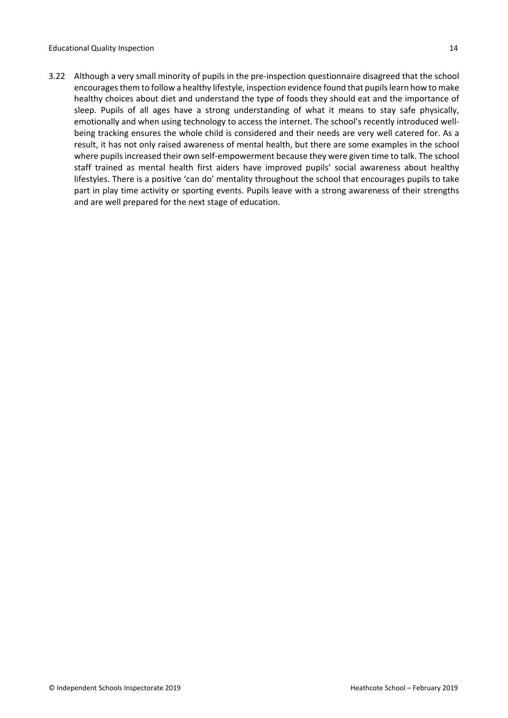3.22 Although a very small minority of pupils in the pre-inspection questionnaire disagreed that the school encourages them to follow a healthy lifestyle, inspection evidence found that pupils learn how to make healthy choices about diet and understand the type of foods they should eat and the importance of sleep. Pupils of all ages have a strong understanding of what it means to stay safe physically, emotionally and when using technology to access the internet. The school's recently introduced wellbeing tracking ensures the whole child is considered and their needs are very well catered for. As a result, it has not only raised awareness of mental health, but there are some examples in the school where pupils increased their own self-empowerment because they were given time to talk. The school staff trained as mental health first aiders have improved pupils' social awareness about healthy lifestyles. There is a positive 'can do' mentality throughout the school that encourages pupils to take part in play time activity or sporting events. Pupils leave with a strong awareness of their strengths and are well prepared for the next stage of education.